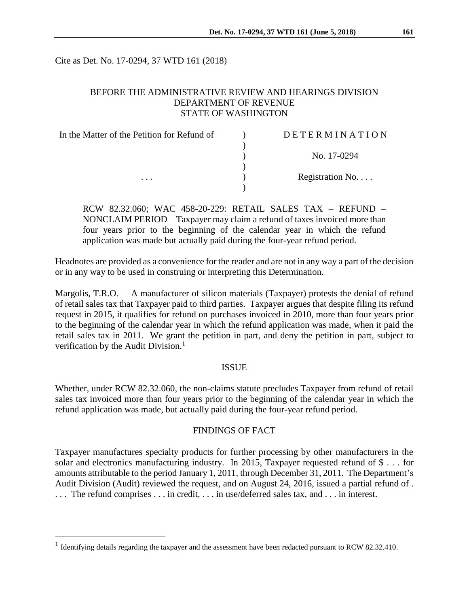Cite as Det. No. 17-0294, 37 WTD 161 (2018)

## BEFORE THE ADMINISTRATIVE REVIEW AND HEARINGS DIVISION DEPARTMENT OF REVENUE STATE OF WASHINGTON

| In the Matter of the Petition for Refund of | DETERMINATION   |
|---------------------------------------------|-----------------|
|                                             | No. 17-0294     |
|                                             | Registration No |
| .                                           |                 |

RCW 82.32.060; WAC 458-20-229: RETAIL SALES TAX – REFUND – NONCLAIM PERIOD – Taxpayer may claim a refund of taxes invoiced more than four years prior to the beginning of the calendar year in which the refund application was made but actually paid during the four-year refund period.

Headnotes are provided as a convenience for the reader and are not in any way a part of the decision or in any way to be used in construing or interpreting this Determination.

Margolis, T.R.O.  $- A$  manufacturer of silicon materials (Taxpayer) protests the denial of refund of retail sales tax that Taxpayer paid to third parties. Taxpayer argues that despite filing its refund request in 2015, it qualifies for refund on purchases invoiced in 2010, more than four years prior to the beginning of the calendar year in which the refund application was made, when it paid the retail sales tax in 2011. We grant the petition in part, and deny the petition in part, subject to verification by the Audit Division.<sup>1</sup>

### **ISSUE**

Whether, under RCW 82.32.060, the non-claims statute precludes Taxpayer from refund of retail sales tax invoiced more than four years prior to the beginning of the calendar year in which the refund application was made, but actually paid during the four-year refund period.

#### FINDINGS OF FACT

Taxpayer manufactures specialty products for further processing by other manufacturers in the solar and electronics manufacturing industry. In 2015, Taxpayer requested refund of \$ . . . for amounts attributable to the period January 1, 2011, through December 31, 2011. The Department's Audit Division (Audit) reviewed the request, and on August 24, 2016, issued a partial refund of . . . . The refund comprises . . . in credit, . . . in use/deferred sales tax, and . . . in interest.

 $\overline{a}$ 

<sup>&</sup>lt;sup>1</sup> Identifying details regarding the taxpayer and the assessment have been redacted pursuant to RCW 82.32.410.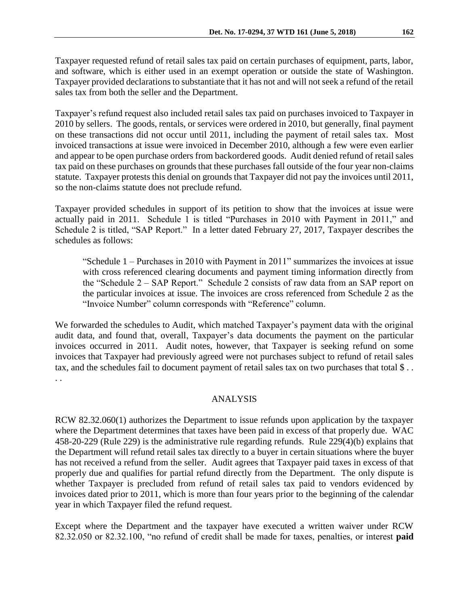Taxpayer requested refund of retail sales tax paid on certain purchases of equipment, parts, labor, and software, which is either used in an exempt operation or outside the state of Washington. Taxpayer provided declarations to substantiate that it has not and will not seek a refund of the retail sales tax from both the seller and the Department.

Taxpayer's refund request also included retail sales tax paid on purchases invoiced to Taxpayer in 2010 by sellers. The goods, rentals, or services were ordered in 2010, but generally, final payment on these transactions did not occur until 2011, including the payment of retail sales tax. Most invoiced transactions at issue were invoiced in December 2010, although a few were even earlier and appear to be open purchase orders from backordered goods. Audit denied refund of retail sales tax paid on these purchases on grounds that these purchases fall outside of the four year non-claims statute. Taxpayer protests this denial on grounds that Taxpayer did not pay the invoices until 2011, so the non-claims statute does not preclude refund.

Taxpayer provided schedules in support of its petition to show that the invoices at issue were actually paid in 2011. Schedule 1 is titled "Purchases in 2010 with Payment in 2011," and Schedule 2 is titled, "SAP Report." In a letter dated February 27, 2017, Taxpayer describes the schedules as follows:

"Schedule 1 – Purchases in 2010 with Payment in 2011" summarizes the invoices at issue with cross referenced clearing documents and payment timing information directly from the "Schedule 2 – SAP Report." Schedule 2 consists of raw data from an SAP report on the particular invoices at issue. The invoices are cross referenced from Schedule 2 as the "Invoice Number" column corresponds with "Reference" column.

We forwarded the schedules to Audit, which matched Taxpayer's payment data with the original audit data, and found that, overall, Taxpayer's data documents the payment on the particular invoices occurred in 2011. Audit notes, however, that Taxpayer is seeking refund on some invoices that Taxpayer had previously agreed were not purchases subject to refund of retail sales tax, and the schedules fail to document payment of retail sales tax on two purchases that total \$... . .

## ANALYSIS

RCW 82.32.060(1) authorizes the Department to issue refunds upon application by the taxpayer where the Department determines that taxes have been paid in excess of that properly due. WAC 458-20-229 (Rule 229) is the administrative rule regarding refunds. Rule 229(4)(b) explains that the Department will refund retail sales tax directly to a buyer in certain situations where the buyer has not received a refund from the seller. Audit agrees that Taxpayer paid taxes in excess of that properly due and qualifies for partial refund directly from the Department. The only dispute is whether Taxpayer is precluded from refund of retail sales tax paid to vendors evidenced by invoices dated prior to 2011, which is more than four years prior to the beginning of the calendar year in which Taxpayer filed the refund request.

Except where the Department and the taxpayer have executed a written waiver under RCW 82.32.050 or 82.32.100, "no refund of credit shall be made for taxes, penalties, or interest **paid**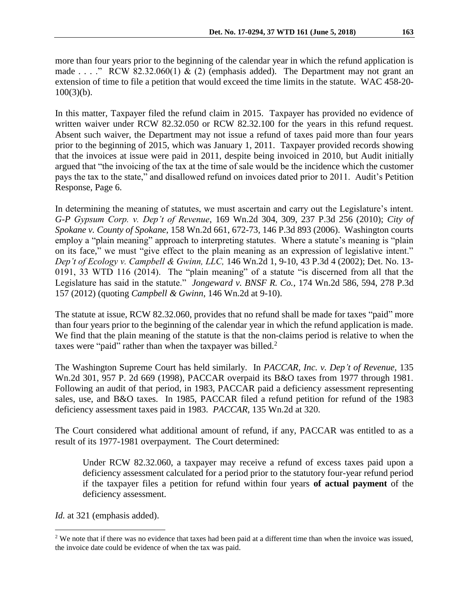more than four years prior to the beginning of the calendar year in which the refund application is made . . . ." RCW 82.32.060(1)  $\&$  (2) (emphasis added). The Department may not grant an extension of time to file a petition that would exceed the time limits in the statute. WAC 458-20-  $100(3)(b)$ .

In this matter, Taxpayer filed the refund claim in 2015. Taxpayer has provided no evidence of written waiver under RCW 82.32.050 or RCW 82.32.100 for the years in this refund request. Absent such waiver, the Department may not issue a refund of taxes paid more than four years prior to the beginning of 2015, which was January 1, 2011. Taxpayer provided records showing that the invoices at issue were paid in 2011, despite being invoiced in 2010, but Audit initially argued that "the invoicing of the tax at the time of sale would be the incidence which the customer pays the tax to the state," and disallowed refund on invoices dated prior to 2011. Audit's Petition Response, Page 6.

In determining the meaning of statutes, we must ascertain and carry out the Legislature's intent. *G-P Gypsum Corp. v. Dep't of Revenue*, 169 Wn.2d 304, 309, 237 P.3d 256 (2010); *City of Spokane v. County of Spokane*, 158 Wn.2d 661, 672-73, 146 P.3d 893 (2006). Washington courts employ a "plain meaning" approach to interpreting statutes. Where a statute's meaning is "plain on its face," we must "give effect to the plain meaning as an expression of legislative intent." *Dep't of Ecology v. Campbell & Gwinn, LLC,* 146 Wn.2d 1, 9-10, 43 P.3d 4 (2002); Det. No. 13- 0191, 33 WTD 116 (2014). The "plain meaning" of a statute "is discerned from all that the Legislature has said in the statute." *Jongeward v. BNSF R. Co.*, 174 Wn.2d 586, 594, 278 P.3d 157 (2012) (quoting *Campbell & Gwinn*, 146 Wn.2d at 9-10).

The statute at issue, RCW 82.32.060, provides that no refund shall be made for taxes "paid" more than four years prior to the beginning of the calendar year in which the refund application is made. We find that the plain meaning of the statute is that the non-claims period is relative to when the taxes were "paid" rather than when the taxpayer was billed. $2$ 

The Washington Supreme Court has held similarly. In *PACCAR, Inc. v. Dep't of Revenue,* 135 Wn.2d 301, 957 P. 2d 669 (1998), PACCAR overpaid its B&O taxes from 1977 through 1981. Following an audit of that period, in 1983, PACCAR paid a deficiency assessment representing sales, use, and B&O taxes. In 1985, PACCAR filed a refund petition for refund of the 1983 deficiency assessment taxes paid in 1983. *PACCAR,* 135 Wn.2d at 320.

The Court considered what additional amount of refund, if any, PACCAR was entitled to as a result of its 1977-1981 overpayment. The Court determined:

Under RCW 82.32.060, a taxpayer may receive a refund of excess taxes paid upon a deficiency assessment calculated for a period prior to the statutory four-year refund period if the taxpayer files a petition for refund within four years **of actual payment** of the deficiency assessment.

*Id.* at 321 (emphasis added).

 $\overline{a}$ 

<sup>&</sup>lt;sup>2</sup> We note that if there was no evidence that taxes had been paid at a different time than when the invoice was issued, the invoice date could be evidence of when the tax was paid.